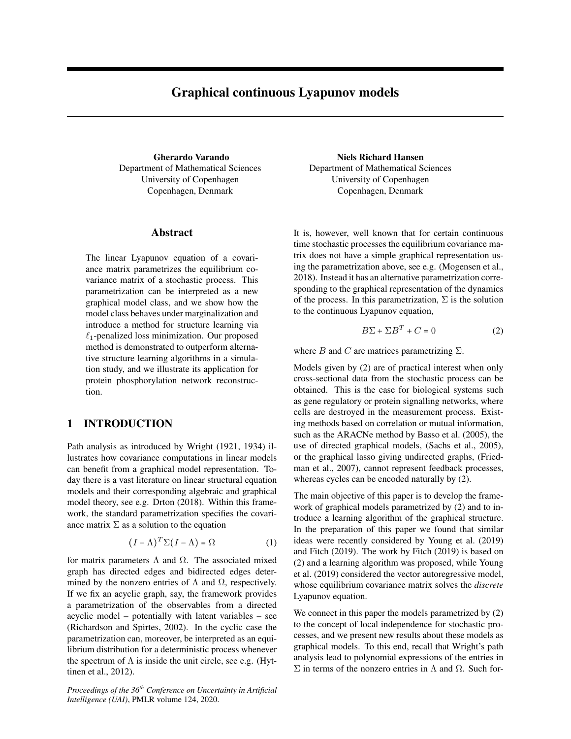# Graphical continuous Lyapunov models

Gherardo Varando Department of Mathematical Sciences University of Copenhagen Copenhagen, Denmark

### Abstract

The linear Lyapunov equation of a covariance matrix parametrizes the equilibrium covariance matrix of a stochastic process. This parametrization can be interpreted as a new graphical model class, and we show how the model class behaves under marginalization and introduce a method for structure learning via  $\ell_1$ -penalized loss minimization. Our proposed method is demonstrated to outperform alternative structure learning algorithms in a simulation study, and we illustrate its application for protein phosphorylation network reconstruction.

# 1 INTRODUCTION

Path analysis as introduced by [Wright](#page-9-0) [\(1921,](#page-9-0) [1934\)](#page-9-1) illustrates how covariance computations in linear models can benefit from a graphical model representation. Today there is a vast literature on linear structural equation models and their corresponding algebraic and graphical model theory, see e.g. [Drton](#page-8-0) [\(2018\)](#page-8-0). Within this framework, the standard parametrization specifies the covariance matrix  $\Sigma$  as a solution to the equation

$$
(I - \Lambda)^{T} \Sigma (I - \Lambda) = \Omega
$$
 (1)

for matrix parameters  $\Lambda$  and  $\Omega$ . The associated mixed graph has directed edges and bidirected edges determined by the nonzero entries of  $\Lambda$  and  $\Omega$ , respectively. If we fix an acyclic graph, say, the framework provides a parametrization of the observables from a directed acyclic model – potentially with latent variables – see [\(Richardson and Spirtes, 2002\)](#page-9-2). In the cyclic case the parametrization can, moreover, be interpreted as an equilibrium distribution for a deterministic process whenever the spectrum of  $\Lambda$  is inside the unit circle, see e.g. [\(Hyt](#page-9-3)[tinen et al., 2012\)](#page-9-3).

*Proceedings of the 36th Conference on Uncertainty in Artificial Intelligence (UAI)*, PMLR volume 124, 2020.

Niels Richard Hansen Department of Mathematical Sciences University of Copenhagen Copenhagen, Denmark

It is, however, well known that for certain continuous time stochastic processes the equilibrium covariance matrix does not have a simple graphical representation using the parametrization above, see e.g. [\(Mogensen et al.,](#page-9-4) [2018\)](#page-9-4). Instead it has an alternative parametrization corresponding to the graphical representation of the dynamics of the process. In this parametrization,  $\Sigma$  is the solution to the continuous Lyapunov equation,

<span id="page-0-0"></span>
$$
B\Sigma + \Sigma B^T + C = 0 \tag{2}
$$

where B and C are matrices parametrizing  $\Sigma$ .

Models given by [\(2\)](#page-0-0) are of practical interest when only cross-sectional data from the stochastic process can be obtained. This is the case for biological systems such as gene regulatory or protein signalling networks, where cells are destroyed in the measurement process. Existing methods based on correlation or mutual information, such as the ARACNe method by [Basso et al.](#page-8-1) [\(2005\)](#page-8-1), the use of directed graphical models, [\(Sachs et al., 2005\)](#page-9-5), or the graphical lasso giving undirected graphs, [\(Fried](#page-9-6)[man et al., 2007\)](#page-9-6), cannot represent feedback processes, whereas cycles can be encoded naturally by [\(2\)](#page-0-0).

The main objective of this paper is to develop the framework of graphical models parametrized by [\(2\)](#page-0-0) and to introduce a learning algorithm of the graphical structure. In the preparation of this paper we found that similar ideas were recently considered by [Young et al.](#page-9-7) [\(2019\)](#page-9-7) and [Fitch](#page-8-2) [\(2019\)](#page-8-2). The work by [Fitch](#page-8-2) [\(2019\)](#page-8-2) is based on [\(2\)](#page-0-0) and a learning algorithm was proposed, while [Young](#page-9-7) [et al.](#page-9-7) [\(2019\)](#page-9-7) considered the vector autoregressive model, whose equilibrium covariance matrix solves the *discrete* Lyapunov equation.

We connect in this paper the models parametrized by [\(2\)](#page-0-0) to the concept of local independence for stochastic processes, and we present new results about these models as graphical models. To this end, recall that Wright's path analysis lead to polynomial expressions of the entries in  $\Sigma$  in terms of the nonzero entries in Λ and Ω. Such for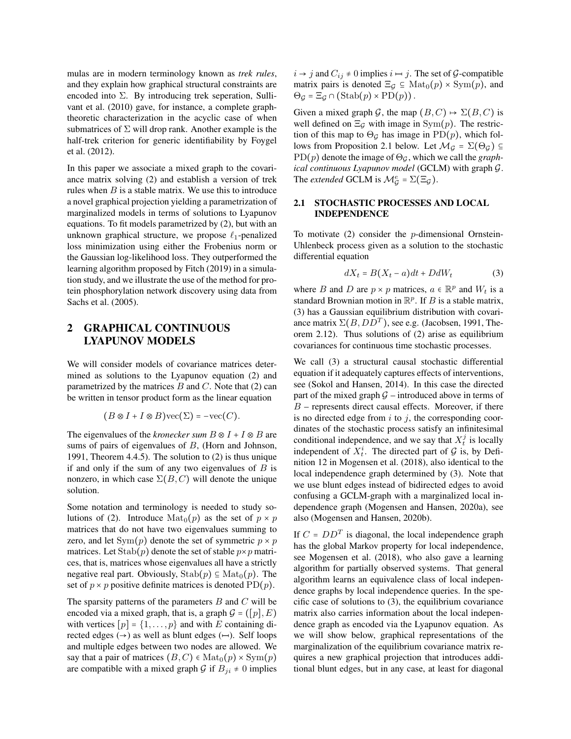mulas are in modern terminology known as *trek rules*, and they explain how graphical structural constraints are encoded into  $\Sigma$ . By introducing trek seperation, [Sulli](#page-9-8)[vant et al.](#page-9-8) [\(2010\)](#page-9-8) gave, for instance, a complete graphtheoretic characterization in the acyclic case of when submatrices of  $\Sigma$  will drop rank. Another example is the half-trek criterion for generic identifiability by [Foygel](#page-8-3) [et al.](#page-8-3) [\(2012\)](#page-8-3).

In this paper we associate a mixed graph to the covariance matrix solving [\(2\)](#page-0-0) and establish a version of trek rules when  $B$  is a stable matrix. We use this to introduce a novel graphical projection yielding a parametrization of marginalized models in terms of solutions to Lyapunov equations. To fit models parametrized by [\(2\)](#page-0-0), but with an unknown graphical structure, we propose  $\ell_1$ -penalized loss minimization using either the Frobenius norm or the Gaussian log-likelihood loss. They outperformed the learning algorithm proposed by [Fitch](#page-8-2) [\(2019\)](#page-8-2) in a simulation study, and we illustrate the use of the method for protein phosphorylation network discovery using data from [Sachs et al.](#page-9-5) [\(2005\)](#page-9-5).

# 2 GRAPHICAL CONTINUOUS LYAPUNOV MODELS

We will consider models of covariance matrices determined as solutions to the Lyapunov equation [\(2\)](#page-0-0) and parametrized by the matrices  $B$  and  $C$ . Note that [\(2\)](#page-0-0) can be written in tensor product form as the linear equation

$$
(B \otimes I + I \otimes B) \text{vec}(\Sigma) = -\text{vec}(C).
$$

The eigenvalues of the *kronecker sum*  $B \otimes I + I \otimes B$  are sums of pairs of eigenvalues of B, [\(Horn and Johnson,](#page-9-9) [1991,](#page-9-9) Theorem 4.4.5). The solution to [\(2\)](#page-0-0) is thus unique if and only if the sum of any two eigenvalues of  $B$  is nonzero, in which case  $\Sigma(B, C)$  will denote the unique solution.

Some notation and terminology is needed to study so-lutions of [\(2\)](#page-0-0). Introduce  $\text{Mat}_0(p)$  as the set of  $p \times p$ matrices that do not have two eigenvalues summing to zero, and let  $Sym(p)$  denote the set of symmetric  $p \times p$ matrices. Let  $\text{Stab}(p)$  denote the set of stable  $p \times p$  matrices, that is, matrices whose eigenvalues all have a strictly negative real part. Obviously,  $\text{Stab}(p) \subseteq \text{Mat}_0(p)$ . The set of  $p \times p$  positive definite matrices is denoted PD(p).

The sparsity patterns of the parameters  $B$  and  $C$  will be encoded via a mixed graph, that is, a graph  $\mathcal{G} = ([p], E)$ with vertices  $[p] = \{1, \ldots, p\}$  and with E containing directed edges  $(\rightarrow)$  as well as blunt edges  $(\rightarrow)$ . Self loops and multiple edges between two nodes are allowed. We say that a pair of matrices  $(B, C) \in Mat_0(p) \times Sym(p)$ are compatible with a mixed graph G if  $B_{ji} \neq 0$  implies  $i \rightarrow j$  and  $C_{ij} \neq 0$  implies  $i \mapsto j$ . The set of G-compatible matrix pairs is denoted  $\Xi_{\mathcal{G}} \subseteq \text{Mat}_{0}(p) \times \text{Sym}(p)$ , and  $\Theta_{\mathcal{G}} = \Xi_{\mathcal{G}} \cap (\text{Stab}(p) \times \text{PD}(p)).$ 

Given a mixed graph G, the map  $(B, C) \rightarrow \Sigma(B, C)$  is well defined on  $\Xi_G$  with image in Sym(p). The restriction of this map to  $\Theta_G$  has image in PD(p), which fol-lows from Proposition [2.1](#page-2-0) below. Let  $\mathcal{M}_\mathcal{G} = \Sigma(\Theta_\mathcal{G}) \subseteq$  $PD(p)$  denote the image of  $\Theta_G$ , which we call the *graphical continuous Lyapunov model* (GCLM) with graph G. The *extended* GCLM is  $\mathcal{M}_{\mathcal{G}}^e = \Sigma(\Xi_{\mathcal{G}})$ .

### <span id="page-1-1"></span>2.1 STOCHASTIC PROCESSES AND LOCAL INDEPENDENCE

To motivate  $(2)$  consider the *p*-dimensional Ornstein-Uhlenbeck process given as a solution to the stochastic differential equation

<span id="page-1-0"></span>
$$
dX_t = B(X_t - a)dt + DdW_t \tag{3}
$$

where B and D are  $p \times p$  matrices,  $a \in \mathbb{R}^p$  and  $W_t$  is a standard Brownian motion in  $\mathbb{R}^p$ . If B is a stable matrix, [\(3\)](#page-1-0) has a Gaussian equilibrium distribution with covariance matrix  $\Sigma(B,DD^T)$ , see e.g. [\(Jacobsen, 1991,](#page-9-10) Theorem 2.12). Thus solutions of [\(2\)](#page-0-0) arise as equilibrium covariances for continuous time stochastic processes.

We call [\(3\)](#page-1-0) a structural causal stochastic differential equation if it adequately captures effects of interventions, see [\(Sokol and Hansen, 2014\)](#page-9-11). In this case the directed part of the mixed graph  $G$  – introduced above in terms of  $B$  – represents direct causal effects. Moreover, if there is no directed edge from  $i$  to  $j$ , the corresponding coordinates of the stochastic process satisfy an infinitesimal conditional independence, and we say that  $X_t^j$  is locally independent of  $X_t^i$ . The directed part of  $G$  is, by Definition 12 in [Mogensen et al.](#page-9-4) [\(2018\)](#page-9-4), also identical to the local independence graph determined by [\(3\)](#page-1-0). Note that we use blunt edges instead of bidirected edges to avoid confusing a GCLM-graph with a marginalized local independence graph [\(Mogensen and Hansen, 2020a\)](#page-9-12), see also [\(Mogensen and Hansen, 2020b\)](#page-9-13).

If  $C = D D<sup>T</sup>$  is diagonal, the local independence graph has the global Markov property for local independence, see [Mogensen et al.](#page-9-4) [\(2018\)](#page-9-4), who also gave a learning algorithm for partially observed systems. That general algorithm learns an equivalence class of local independence graphs by local independence queries. In the specific case of solutions to [\(3\)](#page-1-0), the equilibrium covariance matrix also carries information about the local independence graph as encoded via the Lyapunov equation. As we will show below, graphical representations of the marginalization of the equilibrium covariance matrix requires a new graphical projection that introduces additional blunt edges, but in any case, at least for diagonal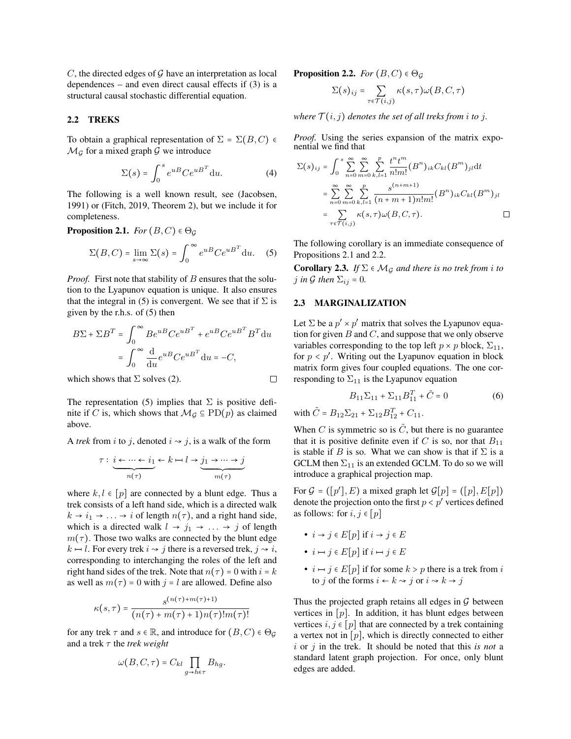$C$ , the directed edges of  $G$  have an interpretation as local dependences – and even direct causal effects if [\(3\)](#page-1-0) is a structural causal stochastic differential equation.

#### 2.2 TREKS

To obtain a graphical representation of  $\Sigma = \Sigma(B, C)$   $\in$  $\mathcal{M}_{\mathcal{G}}$  for a mixed graph  $\mathcal{G}$  we introduce

$$
\Sigma(s) = \int_0^s e^{uB} Ce^{uB^T} du.
$$
 (4)

The following is a well known result, see [\(Jacobsen,](#page-9-10) [1991\)](#page-9-10) or [\(Fitch, 2019,](#page-8-2) Theorem 2), but we include it for completeness.

<span id="page-2-0"></span>**Proposition 2.1.** *For*  $(B, C) \in \Theta_G$ 

$$
\Sigma(B, C) = \lim_{s \to \infty} \Sigma(s) = \int_0^\infty e^{uB} C e^{uB^T} du. \quad (5)
$$

*Proof.* First note that stability of  $B$  ensures that the solution to the Lyapunov equation is unique. It also ensures that the integral in [\(5\)](#page-2-1) is convergent. We see that if  $\Sigma$  is given by the r.h.s. of [\(5\)](#page-2-1) then

$$
B\Sigma + \Sigma B^{T} = \int_{0}^{\infty} B e^{uB} C e^{uB^{T}} + e^{uB} C e^{uB^{T}} B^{T} du
$$

$$
= \int_{0}^{\infty} \frac{d}{du} e^{uB} C e^{uB^{T}} du = -C,
$$

which shows that  $\Sigma$  solves [\(2\)](#page-0-0).

$$
\mathcal{L}^{\mathcal{L}}(\mathcal{L}^{\mathcal{L}})
$$

The representation [\(5\)](#page-2-1) implies that  $\Sigma$  is positive definite if C is, which shows that  $\mathcal{M}_{\mathcal{G}} \subseteq \mathrm{PD}(p)$  as claimed above.

A *trek* from *i* to *j*, denoted  $i \sim j$ , is a walk of the form

$$
\tau: \underbrace{i \leftarrow \cdots \leftarrow i_1}_{n(\tau)} \leftarrow k \leftarrow l \rightarrow \underbrace{j_1 \rightarrow \cdots \rightarrow j}_{m(\tau)}
$$

where  $k, l \in [p]$  are connected by a blunt edge. Thus a trek consists of a left hand side, which is a directed walk  $k \rightarrow i_1 \rightarrow \ldots \rightarrow i$  of length  $n(\tau)$ , and a right hand side, which is a directed walk  $l \rightarrow j_1 \rightarrow \ldots \rightarrow j$  of length  $m(\tau)$ . Those two walks are connected by the blunt edge  $k \mapsto l$ . For every trek  $i \rightsquigarrow j$  there is a reversed trek,  $j \rightsquigarrow i$ , corresponding to interchanging the roles of the left and right hand sides of the trek. Note that  $n(\tau) = 0$  with  $i = k$ as well as  $m(\tau) = 0$  with  $j = l$  are allowed. Define also

$$
\kappa(s,\tau) = \frac{s^{(n(\tau)+m(\tau)+1)}}{(n(\tau)+m(\tau)+1)n(\tau)!m(\tau)!}
$$

for any trek  $\tau$  and  $s \in \mathbb{R}$ , and introduce for  $(B, C) \in \Theta$ and a trek  $\tau$  the *trek weight* 

$$
\omega(B, C, \tau) = C_{kl} \prod_{g \to h \in \tau} B_{hg}.
$$

<span id="page-2-2"></span>**Proposition 2.2.** *For*  $(B, C) \in \Theta_G$ 

$$
\Sigma(s)_{ij} = \sum_{\tau \in \mathcal{T}(i,j)} \kappa(s,\tau) \omega(B,C,\tau)
$$

*where*  $\mathcal{T}(i, j)$  *denotes the set of all treks from i to j.* 

*Proof.* Using the series expansion of the matrix exponential we find that

$$
\Sigma(s)_{ij} = \int_0^s \sum_{n=0}^\infty \sum_{m=0}^\infty \sum_{k,l=1}^p \frac{t^n t^m}{n! m!} (B^n)_{ik} C_{kl} (B^m)_{jl} dt
$$
  

$$
= \sum_{n=0}^\infty \sum_{m=0}^\infty \sum_{k,l=1}^p \frac{s^{(n+m+1)}}{(n+m+1) n! m!} (B^n)_{ik} C_{kl} (B^m)_{jl}
$$
  

$$
= \sum_{\tau \in \mathcal{T}(i,j)} \kappa(s,\tau) \omega(B,C,\tau).
$$

<span id="page-2-1"></span>The following corollary is an immediate consequence of Propositions [2.1](#page-2-0) and [2.2.](#page-2-2)

<span id="page-2-3"></span>**Corollary 2.3.** *If*  $\Sigma \in \mathcal{M}_G$  *and there is no trek from i to j* in G then  $\Sigma_{ij} = 0$ .

### <span id="page-2-4"></span>2.3 MARGINALIZATION

Let  $\Sigma$  be a  $p' \times p'$  matrix that solves the Lyapunov equation for given  $B$  and  $C$ , and suppose that we only observe variables corresponding to the top left  $p \times p$  block,  $\Sigma_{11}$ , for  $p < p'$ . Writing out the Lyapunov equation in block matrix form gives four coupled equations. The one corresponding to  $\Sigma_{11}$  is the Lyapunov equation

$$
B_{11}\Sigma_{11} + \Sigma_{11}B_{11}^T + \tilde{C} = 0 \tag{6}
$$

with  $\tilde{C} = B_{12} \Sigma_{21} + \Sigma_{12} B_{12}^T + C_{11}$ .

When C is symmetric so is  $\tilde{C}$ , but there is no guarantee that it is positive definite even if C is so, nor that  $B_{11}$ is stable if B is so. What we can show is that if  $\Sigma$  is a GCLM then  $\Sigma_{11}$  is an extended GCLM. To do so we will introduce a graphical projection map.

For  $G = ([p'], E)$  a mixed graph let  $G[p] = ([p], E[p])$ denote the projection onto the first  $p < p'$  vertices defined as follows: for  $i, j \in [p]$ 

•  $i \rightarrow j \in E[p]$  if  $i \rightarrow j \in E$ 

• 
$$
i \mapsto j \in E[p]
$$
 if  $i \mapsto j \in E$ 

•  $i \mapsto j \in E[p]$  if for some  $k > p$  there is a trek from i to j of the forms  $i \leftarrow k \rightsquigarrow j$  or  $i \rightsquigarrow k \rightarrow j$ 

Thus the projected graph retains all edges in  $G$  between vertices in  $[p]$ . In addition, it has blunt edges between vertices  $i, j \in [p]$  that are connected by a trek containing a vertex not in  $[p]$ , which is directly connected to either i or j in the trek. It should be noted that this *is not* a standard latent graph projection. For once, only blunt edges are added.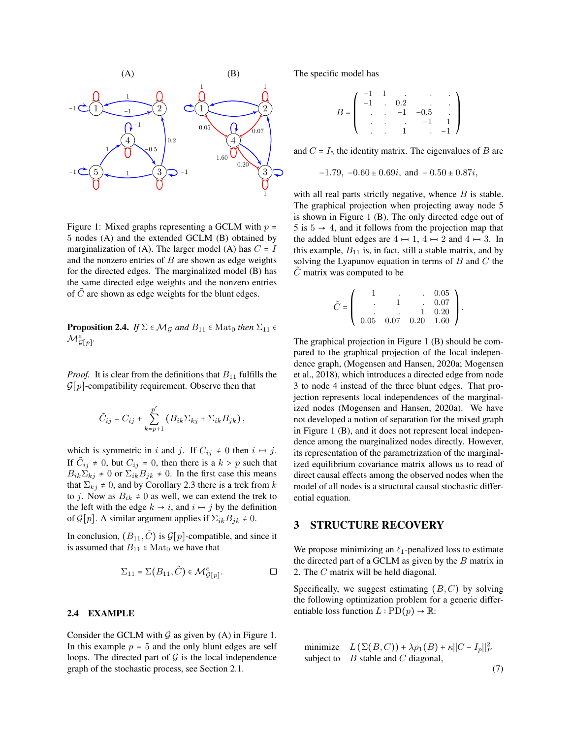

<span id="page-3-0"></span>Figure 1: Mixed graphs representing a GCLM with  $p =$ 5 nodes (A) and the extended GCLM (B) obtained by marginalization of (A). The larger model (A) has  $C = I$ and the nonzero entries of  $B$  are shown as edge weights for the directed edges. The marginalized model (B) has the same directed edge weights and the nonzero entries of  $C$  are shown as edge weights for the blunt edges.

**Proposition 2.4.** *If*  $\Sigma \in \mathcal{M}_G$  *and*  $B_{11} \in \text{Mat}_0$  *then*  $\Sigma_{11} \in$  $\mathcal{M}_{\mathcal{G}[p]}^e$ .

*Proof.* It is clear from the definitions that  $B_{11}$  fulfills the  $\mathcal{G}[p]$ -compatibility requirement. Observe then that

$$
\tilde{C}_{ij} = C_{ij} + \sum_{k=p+1}^{p'} \left( B_{ik} \Sigma_{kj} + \Sigma_{ik} B_{jk} \right),
$$

which is symmetric in i and j. If  $C_{ij} \neq 0$  then  $i \mapsto j$ . If  $\tilde{C}_{ij} \neq 0$ , but  $C_{ij} = 0$ , then there is a  $k > p$  such that  $B_{ik}\Sigma_{ki} \neq 0$  or  $\Sigma_{ik}B_{jk} \neq 0$ . In the first case this means that  $\Sigma_{ki} \neq 0$ , and by Corollary [2.3](#page-2-3) there is a trek from k to j. Now as  $B_{ik} \neq 0$  as well, we can extend the trek to the left with the edge  $k \rightarrow i$ , and  $i \mapsto j$  by the definition of  $\mathcal{G}[p]$ . A similar argument applies if  $\Sigma_{ik}B_{jk} \neq 0$ .

In conclusion,  $(B_{11}, \tilde{C})$  is  $\mathcal{G}[p]$ -compatible, and since it is assumed that  $B_{11} \in Mat_0$  we have that

$$
\Sigma_{11} = \Sigma(B_{11}, \tilde{C}) \in \mathcal{M}_{\mathcal{G}[p]}^e.
$$

### 2.4 EXAMPLE

Consider the GCLM with  $\mathcal G$  as given by (A) in Figure [1.](#page-3-0) In this example  $p = 5$  and the only blunt edges are self loops. The directed part of  $G$  is the local independence graph of the stochastic process, see Section [2.1.](#page-1-1)

The specific model has

$$
B = \left( \begin{array}{ccccc} -1 & 1 & \cdot & \cdot & \cdot & \cdot \\ -1 & \cdot & 0.2 & \cdot & \cdot & \cdot \\ \cdot & \cdot & -1 & -0.5 & \cdot \\ \cdot & \cdot & \cdot & \cdot & -1 & 1 \\ \cdot & \cdot & \cdot & 1 & \cdot & -1 \end{array} \right)
$$

and  $C = I_5$  the identity matrix. The eigenvalues of B are

$$
-1.79, -0.60 \pm 0.69i, \text{ and } -0.50 \pm 0.87i,
$$

with all real parts strictly negative, whence  $B$  is stable. The graphical projection when projecting away node 5 is shown in Figure [1](#page-3-0) (B). The only directed edge out of 5 is  $5 \rightarrow 4$ , and it follows from the projection map that the added blunt edges are  $4 \mapsto 1$ ,  $4 \mapsto 2$  and  $4 \mapsto 3$ . In this example,  $B_{11}$  is, in fact, still a stable matrix, and by solving the Lyapunov equation in terms of  $B$  and  $C$  the  $C$  matrix was computed to be

$$
\tilde{C} = \left( \begin{array}{cccc} 1 & . & . & 0.05 \\ . & 1 & . & 0.07 \\ . & . & 1 & 0.20 \\ 0.05 & 0.07 & 0.20 & 1.60 \end{array} \right).
$$

The graphical projection in Figure [1](#page-3-0) (B) should be compared to the graphical projection of the local independence graph, [\(Mogensen and Hansen, 2020a;](#page-9-12) [Mogensen](#page-9-4) [et al., 2018\)](#page-9-4), which introduces a directed edge from node 3 to node 4 instead of the three blunt edges. That projection represents local independences of the marginalized nodes [\(Mogensen and Hansen, 2020a\)](#page-9-12). We have not developed a notion of separation for the mixed graph in Figure [1](#page-3-0) (B), and it does not represent local independence among the marginalized nodes directly. However, its representation of the parametrization of the marginalized equilibrium covariance matrix allows us to read of direct causal effects among the observed nodes when the model of all nodes is a structural causal stochastic differential equation.

# 3 STRUCTURE RECOVERY

We propose minimizing an  $\ell_1$ -penalized loss to estimate the directed part of a GCLM as given by the  $B$  matrix in [2.](#page-0-0) The C matrix will be held diagonal.

Specifically, we suggest estimating  $(B, C)$  by solving the following optimization problem for a generic differentiable loss function  $L : \text{PD}(p) \to \mathbb{R}$ :

<span id="page-3-1"></span>minimize 
$$
L(\Sigma(B, C)) + \lambda \rho_1(B) + \kappa ||C - I_p||_F^2
$$
  
subject to *B* stable and *C* diagonal, (7)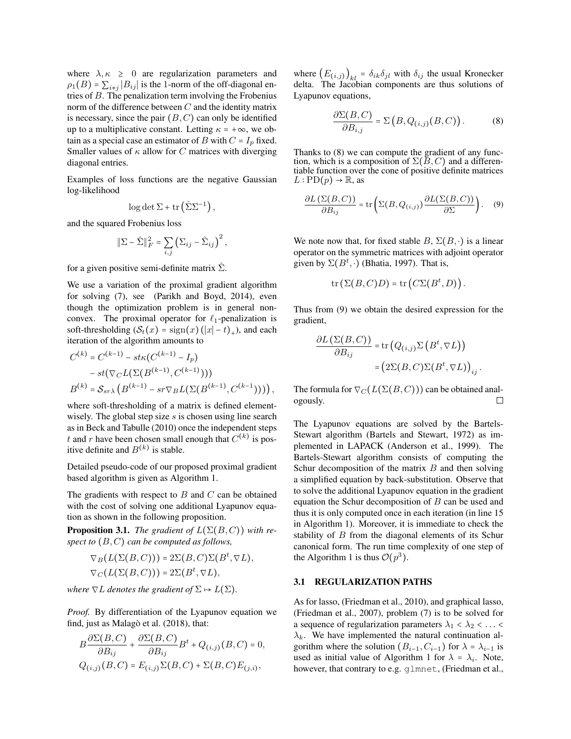where  $\lambda, \kappa \geq 0$  are regularization parameters and  $\rho_1(B)$  =  $\sum_{i \neq j} |B_{ij}|$  is the 1-norm of the off-diagonal entries of  $B$ . The penalization term involving the Frobenius norm of the difference between  $C$  and the identity matrix is necessary, since the pair  $(B, C)$  can only be identified up to a multiplicative constant. Letting  $\kappa = +\infty$ , we obtain as a special case an estimator of B with  $C = I_p$  fixed. Smaller values of  $\kappa$  allow for C matrices with diverging diagonal entries.

Examples of loss functions are the negative Gaussian log-likelihood

$$
\log \det \Sigma + \operatorname{tr} \left( \hat{\Sigma} \Sigma^{-1} \right),
$$

and the squared Frobenius loss

$$
\|\Sigma - \hat{\Sigma}\|_F^2 = \sum_{i,j} (\Sigma_{ij} - \hat{\Sigma}_{ij})^2,
$$

for a given positive semi-definite matrix  $\hat{\Sigma}$ .

We use a variation of the proximal gradient algorithm for solving [\(7\)](#page-3-1), see [\(Parikh and Boyd, 2014\)](#page-9-14), even though the optimization problem is in general nonconvex. The proximal operator for  $\ell_1$ -penalization is soft-thresholding  $(S_t(x) = sign(x) (|x|-t)_+)$ , and each iteration of the algorithm amounts to

$$
C^{(k)} = C^{(k-1)} - st\kappa(C^{(k-1)} - I_p)
$$
  
-  $st(\nabla_C L(\Sigma(B^{(k-1)}, C^{(k-1)})))$   

$$
B^{(k)} = S_{sr\lambda} (B^{(k-1)} - sr\nabla_B L(\Sigma(B^{(k-1)}, C^{(k-1)})))
$$
,

where soft-thresholding of a matrix is defined elementwisely. The global step size  $s$  is chosen using line search as in [Beck and Tabulle](#page-8-4) [\(2010\)](#page-8-4) once the independent steps t and r have been chosen small enough that  $C^{(k)}$  is positive definite and  $B^{(k)}$  is stable.

Detailed pseudo-code of our proposed proximal gradient based algorithm is given as Algorithm [1.](#page-5-0)

The gradients with respect to  $B$  and  $C$  can be obtained with the cost of solving one additional Lyapunov equation as shown in the following proposition.

**Proposition 3.1.** *The gradient of*  $L(\Sigma(B, C))$  *with respect to* (B, C) *can be computed as follows,*

$$
\nabla_B(L(\Sigma(B,C))) = 2\Sigma(B,C)\Sigma(B^t, \nabla L),
$$
  
\n
$$
\nabla_C(L(\Sigma(B,C))) = 2\Sigma(B^t, \nabla L),
$$

*where*  $\nabla L$  *denotes the gradient of*  $\Sigma \mapsto L(\Sigma)$ *.* 

*Proof.* By differentiation of the Lyapunov equation we find, just as Malagò et al. [\(2018\)](#page-9-15), that:

$$
B\frac{\partial \Sigma(B,C)}{\partial B_{ij}} + \frac{\partial \Sigma(B,C)}{\partial B_{ij}}B^t + Q_{(i,j)}(B,C) = 0,
$$
  

$$
Q_{(i,j)}(B,C) = E_{(i,j)}\Sigma(B,C) + \Sigma(B,C)E_{(j,i)},
$$

where  $(E_{(i,j)})_{kl} = \delta_{ik}\delta_{jl}$  with  $\delta_{ij}$  the usual Kronecker delta. The Jacobian components are thus solutions of Lyapunov equations,

<span id="page-4-0"></span>
$$
\frac{\partial \Sigma(B,C)}{\partial B_{i,j}} = \Sigma\left(B, Q_{(i,j)}(B,C)\right). \tag{8}
$$

Thanks to [\(8\)](#page-4-0) we can compute the gradient of any function, which is a composition of  $\Sigma(B, C)$  and a differentiable function over the cone of positive definite matrices  $L: \text{PD}(p) \to \mathbb{R}$ , as

<span id="page-4-1"></span>
$$
\frac{\partial L\left(\Sigma(B,C)\right)}{\partial B_{ij}} = \text{tr}\left(\Sigma(B,Q_{(i,j)})\frac{\partial L(\Sigma(B,C))}{\partial \Sigma}\right). \quad (9)
$$

We note now that, for fixed stable  $B$ ,  $\Sigma(B, \cdot)$  is a linear operator on the symmetric matrices with adjoint operator given by  $\Sigma(B^t, \cdot)$  [\(Bhatia, 1997\)](#page-8-5). That is,

$$
\mathrm{tr}\left(\Sigma(B,C)D\right)=\mathrm{tr}\left(C\Sigma(B^t,D)\right).
$$

Thus from [\(9\)](#page-4-1) we obtain the desired expression for the gradient,

$$
\frac{\partial L\left(\Sigma(B,C)\right)}{\partial B_{ij}} = \text{tr}\left(Q_{(i,j)}\Sigma\left(B^t,\nabla L\right)\right)
$$

$$
=\left(2\Sigma(B,C)\Sigma(B^t,\nabla L)\right)_{ij}.
$$

The formula for  $\nabla_C(L(\Sigma(B,C)))$  can be obtained analogously.  $\Box$ 

The Lyapunov equations are solved by the Bartels-Stewart algorithm [\(Bartels and Stewart, 1972\)](#page-8-6) as implemented in LAPACK [\(Anderson et al., 1999\)](#page-8-7). The Bartels-Stewart algorithm consists of computing the Schur decomposition of the matrix  $B$  and then solving a simplified equation by back-substitution. Observe that to solve the additional Lyapunov equation in the gradient equation the Schur decomposition of  $B$  can be used and thus it is only computed once in each iteration (in line [15](#page-5-1) in Algorithm [1\)](#page-5-0). Moreover, it is immediate to check the stability of B from the diagonal elements of its Schur canonical form. The run time complexity of one step of the Algorithm [1](#page-5-0) is thus  $\mathcal{O}(p^3)$ .

#### 3.1 REGULARIZATION PATHS

As for lasso, [\(Friedman et al., 2010\)](#page-9-16), and graphical lasso, [\(Friedman et al., 2007\)](#page-9-6), problem [\(7\)](#page-3-1) is to be solved for a sequence of regularization parameters  $\lambda_1 < \lambda_2 < \ldots <$  $\lambda_k$ . We have implemented the natural continuation algorithm where the solution  $(B_{i-1}, C_{i-1})$  for  $\lambda = \lambda_{i-1}$  is used as initial value of Algorithm [1](#page-5-0) for  $\lambda = \lambda_i$ . Note, however, that contrary to e.g. glmnet, [\(Friedman et al.,](#page-9-16)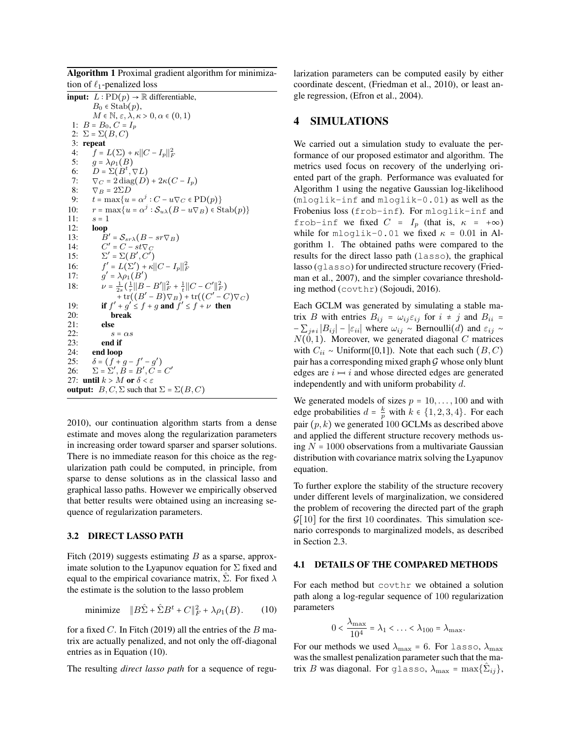Algorithm 1 Proximal gradient algorithm for minimization of  $\ell_1$ -penalized loss

<span id="page-5-0"></span>**input:**  $L: \text{PD}(p) \rightarrow \mathbb{R}$  differentiable,  $B_0 \in \mathrm{Stab}(p)$ ,  $M \in \mathbb{N}, \varepsilon, \lambda, \kappa > 0, \alpha \in (0,1)$ 1:  $B = B_0, C = I_p$ 2:  $\Sigma = \Sigma(B, C)$ 3: repeat 4:  $\int_{S} = L(\Sigma) + \kappa ||C - I_p||_F^2$ 5:  $g = \lambda \rho_1(B)$ <br>6:  $D = \Sigma(B^t,$ 6:  $\overline{D} = \Sigma(\overline{B}^t, \nabla L)$ <br>7:  $\nabla x = 2 \operatorname{diag}(D)$ 7:  $\nabla_C = 2 \operatorname{diag}(D) + 2\kappa (C - I_p)$ <br>8:  $\nabla_B = 2\Sigma D$ 8:  $\nabla_B = 2\Sigma D$ <br>9:  $t = \max\{u\}$ 9:  $t = \max\{u = \alpha^j : C - u\nabla_C \in \text{PD}(p)\}\$ 10:  $r = \max\{u = \alpha^j : \mathcal{S}_{u\lambda}(B - u\nabla_B) \in \text{Stab}(p)\}\$ 11:  $s = 1$ <br>12: **loop** loop  $13:$  $\mathcal{S}_{sr\lambda}(B - sr\nabla_B)$ 14:  $C' = C - st \nabla_C$ <br>15:  $\nabla' = \nabla (B' C')$  $15:$  $' = \Sigma(B', C')$  $16:$  $\mathcal{L} = L(\Sigma') + \kappa ||C - I_p||_F^2$  $17:$  $' = \lambda \rho_1(B')$ 18:  $\nu = \frac{1}{2s} \left( \frac{1}{r} ||B - B'||_F^2 + \frac{1}{t} ||C - C'||_F^2 \right)$ +tr( $(B'-B)\nabla_B$ ) + tr( $(C'-C)\nabla_C$ )<br>
19: **if**  $f' + g' \le f + g$  and  $f' \le f + \nu$  then 20: break 21: else 22:  $s = \alpha s$ <br>23: **end if** end if 24: end loop 25:  $\delta = (f + g - f' - g')$ <br>
26:  $\Sigma = \Sigma', B = B', C = C'$ <br>
27: until  $k > M$  or  $\delta < \epsilon$ 26:  $\Sigma = \Sigma$ <br>27: until  $k >$ 27: until  $k > M$  or  $\delta < \varepsilon$ <br>output:  $B, C, \Sigma$  such the **output:**  $B, C, \Sigma$  such that  $\Sigma = \Sigma(B, C)$ 

[2010\)](#page-9-16), our continuation algorithm starts from a dense estimate and moves along the regularization parameters in increasing order toward sparser and sparser solutions. There is no immediate reason for this choice as the regularization path could be computed, in principle, from sparse to dense solutions as in the classical lasso and graphical lasso paths. However we empirically observed that better results were obtained using an increasing sequence of regularization parameters.

#### 3.2 DIRECT LASSO PATH

[Fitch](#page-8-2) [\(2019\)](#page-8-2) suggests estimating  $B$  as a sparse, approximate solution to the Lyapunov equation for  $\Sigma$  fixed and equal to the empirical covariance matrix,  $\hat{\Sigma}$ . For fixed  $\lambda$ the estimate is the solution to the lasso problem

$$
\text{minimize} \quad \|B\hat{\Sigma} + \hat{\Sigma}B^t + C\|_F^2 + \lambda \rho_1(B). \tag{10}
$$

for a fixed C. In [Fitch](#page-8-2) [\(2019\)](#page-8-2) all the entries of the  $B$  matrix are actually penalized, and not only the off-diagonal entries as in Equation [\(10\)](#page-5-2).

The resulting *direct lasso path* for a sequence of regu-

larization parameters can be computed easily by either coordinate descent, [\(Friedman et al., 2010\)](#page-9-16), or least angle regression, [\(Efron et al., 2004\)](#page-8-8).

### 4 SIMULATIONS

We carried out a simulation study to evaluate the performance of our proposed estimator and algorithm. The metrics used focus on recovery of the underlying oriented part of the graph. Performance was evaluated for Algorithm [1](#page-5-0) using the negative Gaussian log-likelihood (mloglik-inf and mloglik-0.01) as well as the Frobenius loss (frob-inf). For mloglik-inf and frob-inf we fixed  $C = I_p$  (that is,  $\kappa = +\infty$ ) while for mloglik-0.01 we fixed  $\kappa = 0.01$  in Algorithm [1.](#page-5-0) The obtained paths were compared to the results for the direct lasso path (lasso), the graphical lasso (glasso) for undirected structure recovery [\(Fried](#page-9-6)[man et al., 2007\)](#page-9-6), and the simpler covariance thresholding method (covthr) [\(Sojoudi, 2016\)](#page-9-17).

<span id="page-5-1"></span>Each GCLM was generated by simulating a stable matrix B with entries  $B_{ij} = \omega_{ij} \varepsilon_{ij}$  for  $i \neq j$  and  $B_{ii} =$  $-\sum_{j\neq i}|B_{ij}| - |\varepsilon_{ii}|$  where  $\omega_{ij} \sim \text{Bernoulli}(d)$  and  $\varepsilon_{ij} \sim$  $N(0, 1)$ . Moreover, we generated diagonal C matrices with  $C_{ii} \sim \text{Uniform}([0,1])$ . Note that each such  $(B, C)$ pair has a corresponding mixed graph  $G$  whose only blunt edges are  $i \mapsto i$  and whose directed edges are generated independently and with uniform probability d.

We generated models of sizes  $p = 10, \ldots, 100$  and with edge probabilities  $d = \frac{k}{p}$  with  $k \in \{1, 2, 3, 4\}$ . For each pair  $(p, k)$  we generated 100 GCLMs as described above and applied the different structure recovery methods using  $N = 1000$  observations from a multivariate Gaussian distribution with covariance matrix solving the Lyapunov equation.

To further explore the stability of the structure recovery under different levels of marginalization, we considered the problem of recovering the directed part of the graph  $\mathcal{G}[10]$  for the first 10 coordinates. This simulation scenario corresponds to marginalized models, as described in Section [2.3.](#page-2-4)

# 4.1 DETAILS OF THE COMPARED METHODS

<span id="page-5-2"></span>For each method but covthr we obtained a solution path along a log-regular sequence of 100 regularization parameters

$$
0 < \frac{\lambda_{\max}}{10^4} = \lambda_1 < \ldots < \lambda_{100} = \lambda_{\max}.
$$

For our methods we used  $\lambda_{\text{max}} = 6$ . For lasso,  $\lambda_{\text{max}}$ was the smallest penalization parameter such that the matrix B was diagonal. For glasso,  $\lambda_{\text{max}} = \max\{\hat{\Sigma}_{ij}\},$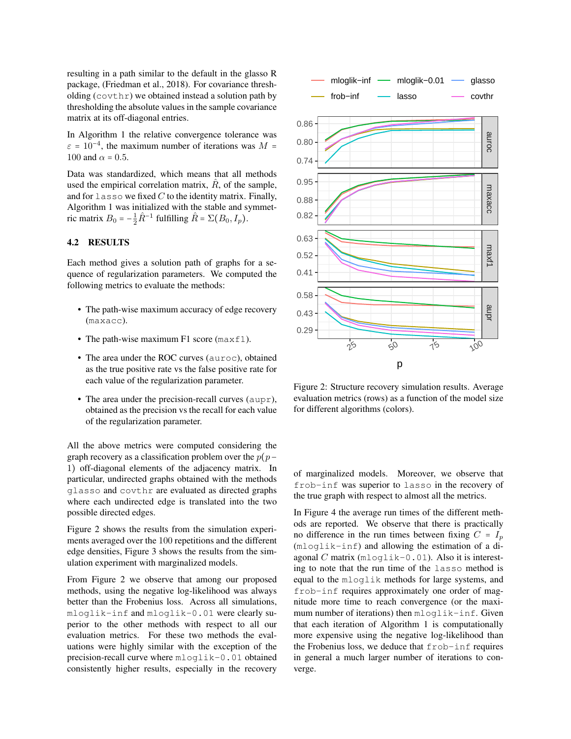resulting in a path similar to the default in the glasso R package, [\(Friedman et al., 2018\)](#page-9-18). For covariance thresholding (covthr) we obtained instead a solution path by thresholding the absolute values in the sample covariance matrix at its off-diagonal entries.

In Algorithm [1](#page-5-0) the relative convergence tolerance was  $\varepsilon = 10^{-4}$ , the maximum number of iterations was  $M =$ 100 and  $\alpha$  = 0.5.

Data was standardized, which means that all methods used the empirical correlation matrix,  $\hat{R}$ , of the sample, and for lasso we fixed  $C$  to the identity matrix. Finally, Algorithm [1](#page-5-0) was initialized with the stable and symmetric matrix  $B_0 = -\frac{1}{2}\hat{R}^{-1}$  fulfilling  $\hat{R} = \Sigma (B_0, I_p)$ .

# 4.2 RESULTS

Each method gives a solution path of graphs for a sequence of regularization parameters. We computed the following metrics to evaluate the methods:

- The path-wise maximum accuracy of edge recovery (maxacc).
- The path-wise maximum  $F1$  score (max $f1$ ).
- The area under the ROC curves (auroc), obtained as the true positive rate vs the false positive rate for each value of the regularization parameter.
- The area under the precision-recall curves (aupr), obtained as the precision vs the recall for each value of the regularization parameter.

All the above metrics were computed considering the graph recovery as a classification problem over the  $p(p-$ 1) off-diagonal elements of the adjacency matrix. In particular, undirected graphs obtained with the methods glasso and covthr are evaluated as directed graphs where each undirected edge is translated into the two possible directed edges.

Figure [2](#page-6-0) shows the results from the simulation experiments averaged over the 100 repetitions and the different edge densities, Figure [3](#page-7-0) shows the results from the simulation experiment with marginalized models.

From Figure [2](#page-6-0) we observe that among our proposed methods, using the negative log-likelihood was always better than the Frobenius loss. Across all simulations, mloglik-inf and mloglik-0.01 were clearly superior to the other methods with respect to all our evaluation metrics. For these two methods the evaluations were highly similar with the exception of the precision-recall curve where mloglik-0.01 obtained



<span id="page-6-0"></span>Figure 2: Structure recovery simulation results. Average evaluation metrics (rows) as a function of the model size for different algorithms (colors).

of marginalized models. Moreover, we observe that frob-inf was superior to lasso in the recovery of the true graph with respect to almost all the metrics.

In Figure [4](#page-7-1) the average run times of the different methods are reported. We observe that there is practically no difference in the run times between fixing  $C = I_p$ (mloglik-inf) and allowing the estimation of a diagonal C matrix  $(mloglik-0.01)$ . Also it is interesting to note that the run time of the lasso method is equal to the mloglik methods for large systems, and frob-inf requires approximately one order of magnitude more time to reach convergence (or the maximum number of iterations) then mloglik-inf. Given that each iteration of Algorithm [1](#page-5-0) is computationally more expensive using the negative log-likelihood than the Frobenius loss, we deduce that frob-inf requires in general a much larger number of iterations to converge.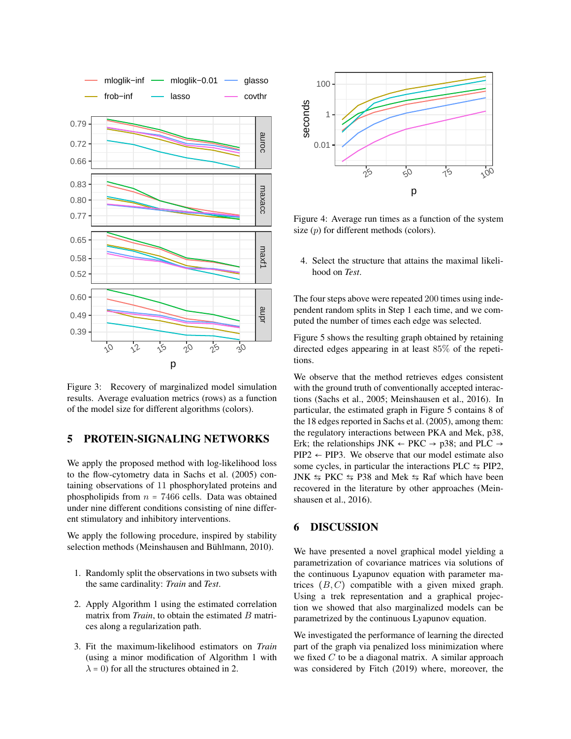

Figure 3: Recovery of marginalized model simulation results. Average evaluation metrics (rows) as a function of the model size for different algorithms (colors).

# 5 PROTEIN-SIGNALING NETWORKS

We apply the proposed method with log-likelihood loss to the flow-cytometry data in [Sachs et al.](#page-9-5) [\(2005\)](#page-9-5) containing observations of 11 phosphorylated proteins and phospholipids from  $n = 7466$  cells. Data was obtained under nine different conditions consisting of nine different stimulatory and inhibitory interventions.

We apply the following procedure, inspired by stability selection methods (Meinshausen and Bühlmann, 2010).

- 1. Randomly split the observations in two subsets with the same cardinality: *Train* and *Test*.
- 2. Apply Algorithm [1](#page-5-0) using the estimated correlation matrix from *Train*, to obtain the estimated B matrices along a regularization path.
- 3. Fit the maximum-likelihood estimators on *Train* (using a minor modification of Algorithm [1](#page-5-0) with  $\lambda$  = 0) for all the structures obtained in 2.



<span id="page-7-1"></span>Figure 4: Average run times as a function of the system size  $(p)$  for different methods (colors).

4. Select the structure that attains the maximal likelihood on *Test*.

The four steps above were repeated 200 times using independent random splits in Step 1 each time, and we computed the number of times each edge was selected.

Figure [5](#page-8-9) shows the resulting graph obtained by retaining directed edges appearing in at least 85% of the repetitions.

<span id="page-7-0"></span>We observe that the method retrieves edges consistent with the ground truth of conventionally accepted interactions [\(Sachs et al., 2005;](#page-9-5) [Meinshausen et al., 2016\)](#page-9-20). In particular, the estimated graph in Figure [5](#page-8-9) contains 8 of the 18 edges reported in [Sachs et al.](#page-9-5) [\(2005\)](#page-9-5), among them: the regulatory interactions between PKA and Mek, p38, Erk; the relationships JNK  $\leftarrow$  PKC  $\rightarrow$  p38; and PLC  $\rightarrow$  $PIP2 \leftarrow PIP3$ . We observe that our model estimate also some cycles, in particular the interactions PLC  $\leq$  PIP2, JNK  $\leq$  PKC  $\leq$  P38 and Mek  $\leq$  Raf which have been recovered in the literature by other approaches [\(Mein](#page-9-20)[shausen et al., 2016\)](#page-9-20).

### 6 DISCUSSION

We have presented a novel graphical model yielding a parametrization of covariance matrices via solutions of the continuous Lyapunov equation with parameter matrices  $(B, C)$  compatible with a given mixed graph. Using a trek representation and a graphical projection we showed that also marginalized models can be parametrized by the continuous Lyapunov equation.

We investigated the performance of learning the directed part of the graph via penalized loss minimization where we fixed  $C$  to be a diagonal matrix. A similar approach was considered by [Fitch](#page-8-2) [\(2019\)](#page-8-2) where, moreover, the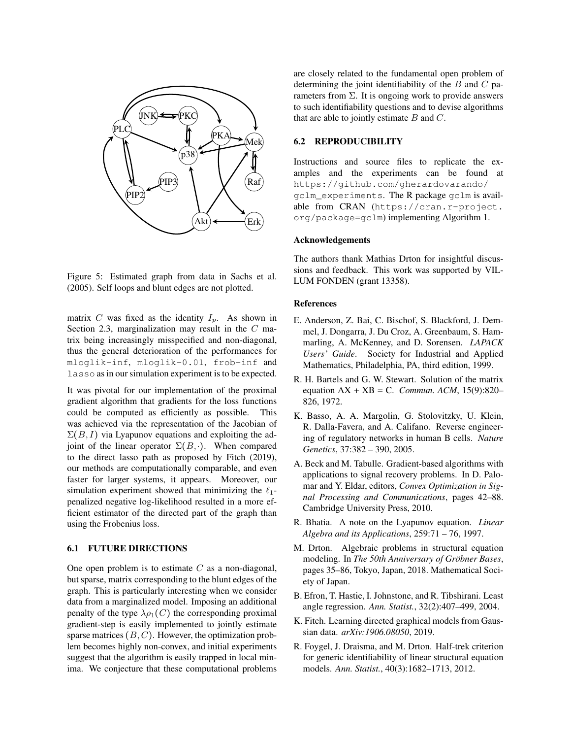

Figure 5: Estimated graph from data in [Sachs et al.](#page-9-5) [\(2005\)](#page-9-5). Self loops and blunt edges are not plotted.

matrix C was fixed as the identity  $I_p$ . As shown in Section [2.3,](#page-2-4) marginalization may result in the C matrix being increasingly misspecified and non-diagonal, thus the general deterioration of the performances for mloglik-inf, mloglik-0.01, frob-inf and lasso as in our simulation experiment is to be expected.

It was pivotal for our implementation of the proximal gradient algorithm that gradients for the loss functions could be computed as efficiently as possible. This was achieved via the representation of the Jacobian of  $\Sigma(B, I)$  via Lyapunov equations and exploiting the adjoint of the linear operator  $\Sigma(B, \cdot)$ . When compared to the direct lasso path as proposed by [Fitch](#page-8-2) [\(2019\)](#page-8-2), our methods are computationally comparable, and even faster for larger systems, it appears. Moreover, our simulation experiment showed that minimizing the  $\ell_1$ penalized negative log-likelihood resulted in a more efficient estimator of the directed part of the graph than using the Frobenius loss.

### 6.1 FUTURE DIRECTIONS

One open problem is to estimate  $C$  as a non-diagonal, but sparse, matrix corresponding to the blunt edges of the graph. This is particularly interesting when we consider data from a marginalized model. Imposing an additional penalty of the type  $\lambda \rho_1(C)$  the corresponding proximal gradient-step is easily implemented to jointly estimate sparse matrices  $(B, C)$ . However, the optimization problem becomes highly non-convex, and initial experiments suggest that the algorithm is easily trapped in local minima. We conjecture that these computational problems are closely related to the fundamental open problem of determining the joint identifiability of the  $B$  and  $C$  parameters from  $\Sigma$ . It is ongoing work to provide answers to such identifiability questions and to devise algorithms that are able to jointly estimate  $B$  and  $C$ .

### 6.2 REPRODUCIBILITY

Instructions and source files to replicate the examples and the experiments can be found at [https://github.com/gherardovarando/](https://github.com/gherardovarando/gclm_experiments) [gclm\\_experiments](https://github.com/gherardovarando/gclm_experiments). The R package gclm is available from CRAN ([https://cran.r-project.](https://cran.r-project.org/package=gclm) [org/package=gclm](https://cran.r-project.org/package=gclm)) implementing Algorithm [1.](#page-5-0)

#### Acknowledgements

<span id="page-8-9"></span>The authors thank Mathias Drton for insightful discussions and feedback. This work was supported by VIL-LUM FONDEN (grant 13358).

#### References

- <span id="page-8-7"></span>E. Anderson, Z. Bai, C. Bischof, S. Blackford, J. Demmel, J. Dongarra, J. Du Croz, A. Greenbaum, S. Hammarling, A. McKenney, and D. Sorensen. *LAPACK Users' Guide*. Society for Industrial and Applied Mathematics, Philadelphia, PA, third edition, 1999.
- <span id="page-8-6"></span>R. H. Bartels and G. W. Stewart. Solution of the matrix equation AX + XB = C. *Commun. ACM*, 15(9):820– 826, 1972.
- <span id="page-8-1"></span>K. Basso, A. A. Margolin, G. Stolovitzky, U. Klein, R. Dalla-Favera, and A. Califano. Reverse engineering of regulatory networks in human B cells. *Nature Genetics*, 37:382 – 390, 2005.
- <span id="page-8-4"></span>A. Beck and M. Tabulle. Gradient-based algorithms with applications to signal recovery problems. In D. Palomar and Y. Eldar, editors, *Convex Optimization in Signal Processing and Communications*, pages 42–88. Cambridge University Press, 2010.
- <span id="page-8-5"></span>R. Bhatia. A note on the Lyapunov equation. *Linear Algebra and its Applications*, 259:71 – 76, 1997.
- <span id="page-8-0"></span>M. Drton. Algebraic problems in structural equation modeling. In *The 50th Anniversary of Gröbner Bases*, pages 35–86, Tokyo, Japan, 2018. Mathematical Society of Japan.
- <span id="page-8-8"></span>B. Efron, T. Hastie, I. Johnstone, and R. Tibshirani. Least angle regression. *Ann. Statist.*, 32(2):407–499, 2004.
- <span id="page-8-2"></span>K. Fitch. Learning directed graphical models from Gaussian data. *arXiv:1906.08050*, 2019.
- <span id="page-8-3"></span>R. Foygel, J. Draisma, and M. Drton. Half-trek criterion for generic identifiability of linear structural equation models. *Ann. Statist.*, 40(3):1682–1713, 2012.